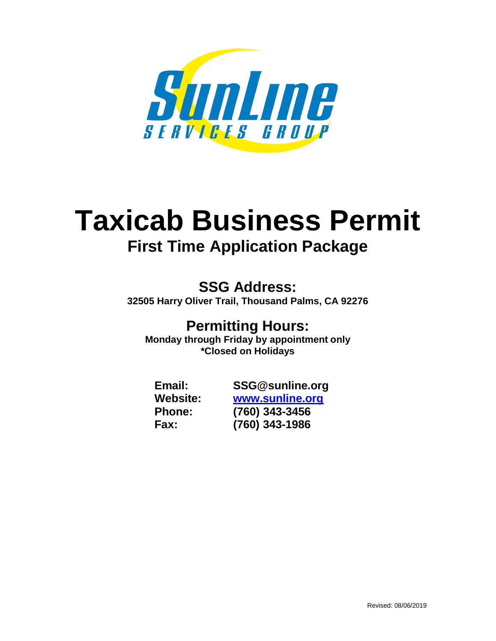

# **Taxicab Business Permit First Time Application Package**

**SSG Address: 32505 Harry Oliver Trail, Thousand Palms, CA 92276**

# **Permitting Hours:**

**Monday through Friday by appointment only \*Closed on Holidays**

**Email: SSG@sunline.org Website: www.sunline.org Phone: (760) 343-3456 Fax: (760) 343-1986**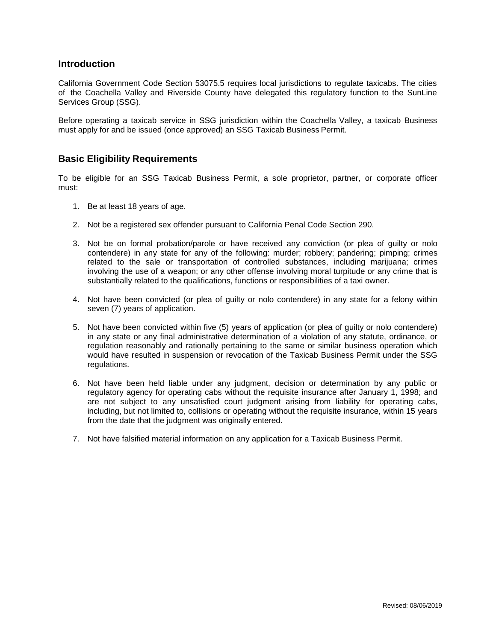#### **Introduction**

California Government Code Section 53075.5 requires local jurisdictions to regulate taxicabs. The cities of the Coachella Valley and Riverside County have delegated this regulatory function to the SunLine Services Group (SSG).

Before operating a taxicab service in SSG jurisdiction within the Coachella Valley, a taxicab Business must apply for and be issued (once approved) an SSG Taxicab Business Permit.

### **Basic Eligibility Requirements**

To be eligible for an SSG Taxicab Business Permit, a sole proprietor, partner, or corporate officer must:

- 1. Be at least 18 years of age.
- 2. Not be a registered sex offender pursuant to California Penal Code Section 290.
- 3. Not be on formal probation/parole or have received any conviction (or plea of guilty or nolo contendere) in any state for any of the following: murder; robbery; pandering; pimping; crimes related to the sale or transportation of controlled substances, including marijuana; crimes involving the use of a weapon; or any other offense involving moral turpitude or any crime that is substantially related to the qualifications, functions or responsibilities of a taxi owner.
- 4. Not have been convicted (or plea of guilty or nolo contendere) in any state for a felony within seven (7) years of application.
- 5. Not have been convicted within five (5) years of application (or plea of guilty or nolo contendere) in any state or any final administrative determination of a violation of any statute, ordinance, or regulation reasonably and rationally pertaining to the same or similar business operation which would have resulted in suspension or revocation of the Taxicab Business Permit under the SSG regulations.
- 6. Not have been held liable under any judgment, decision or determination by any public or regulatory agency for operating cabs without the requisite insurance after January 1, 1998; and are not subject to any unsatisfied court judgment arising from liability for operating cabs, including, but not limited to, collisions or operating without the requisite insurance, within 15 years from the date that the judgment was originally entered.
- 7. Not have falsified material information on any application for a Taxicab Business Permit.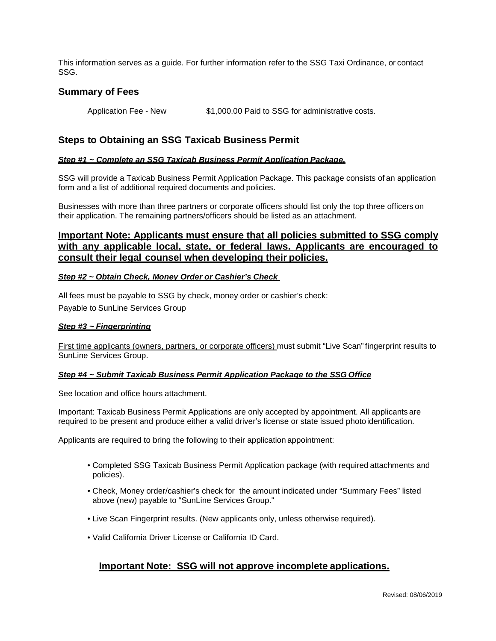This information serves as a guide. For further information refer to the SSG Taxi Ordinance, or contact SSG.

#### **Summary of Fees**

Application Fee - New \$1,000.00 Paid to SSG for administrative costs.

### **Steps to Obtaining an SSG Taxicab Business Permit**

#### *Step #1 ~ Complete an SSG Taxicab Business Permit Application Package.*

SSG will provide a Taxicab Business Permit Application Package. This package consists of an application form and a list of additional required documents and policies.

Businesses with more than three partners or corporate officers should list only the top three officers on their application. The remaining partners/officers should be listed as an attachment.

### **Important Note: Applicants must ensure that all policies submitted to SSG comply with any applicable local, state, or federal laws. Applicants are encouraged to consult their legal counsel when developing their policies.**

#### **Step #2 ~ Obtain Check, Money Order or Cashier's Check**

All fees must be payable to SSG by check, money order or cashier's check: Payable to SunLine Services Group

#### *Step #3 ~ Fingerprinting*

First time applicants (owners, partners, or corporate officers) must submit "Live Scan" fingerprint results to SunLine Services Group.

#### *Step #4 ~ Submit Taxicab Business Permit Application Package to the SSG Office*

See location and office hours attachment.

Important: Taxicab Business Permit Applications are only accepted by appointment. All applicants are required to be present and produce either a valid driver's license or state issued photo identification.

Applicants are required to bring the following to their application appointment:

- Completed SSG Taxicab Business Permit Application package (with required attachments and policies).
- Check, Money order/cashier's check for the amount indicated under "Summary Fees" listed above (new) payable to "SunLine Services Group."
- Live Scan Fingerprint results. (New applicants only, unless otherwise required).
- Valid California Driver License or California ID Card.

#### **Important Note: SSG will not approve incomplete applications.**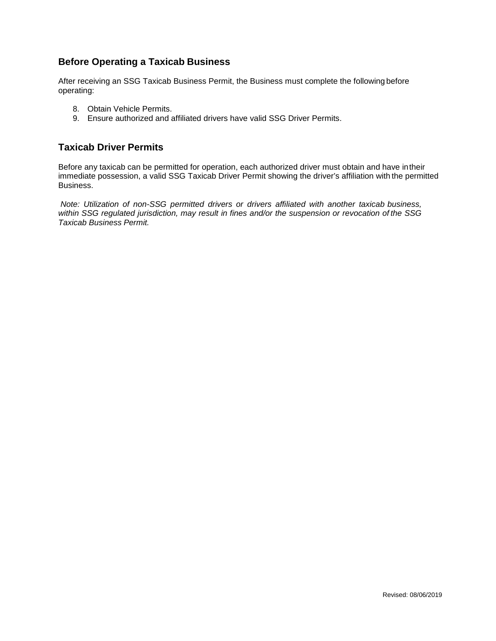### **Before Operating a Taxicab Business**

After receiving an SSG Taxicab Business Permit, the Business must complete the following before operating:

- 8. Obtain Vehicle Permits.
- 9. Ensure authorized and affiliated drivers have valid SSG Driver Permits.

### **Taxicab Driver Permits**

Before any taxicab can be permitted for operation, each authorized driver must obtain and have in their immediate possession, a valid SSG Taxicab Driver Permit showing the driver's affiliation with the permitted Business.

*Note: Utilization of non-SSG permitted drivers or drivers affiliated with another taxicab business, within SSG regulated jurisdiction, may result in fines and/or the suspension or revocation of the SSG Taxicab Business Permit.*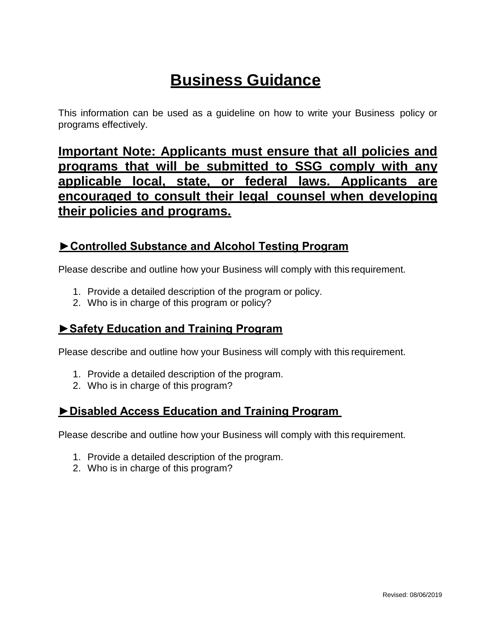# **Business Guidance**

This information can be used as a guideline on how to write your Business policy or programs effectively.

**Important Note: Applicants must ensure that all policies and programs that will be submitted to SSG comply with any applicable local, state, or federal laws. Applicants are encouraged to consult their legal counsel when developing their policies and programs.**

### **►Controlled Substance and Alcohol Testing Program**

Please describe and outline how your Business will comply with this requirement.

- 1. Provide a detailed description of the program or policy.
- 2. Who is in charge of this program or policy?

### **►Safety Education and Training Program**

Please describe and outline how your Business will comply with this requirement.

- 1. Provide a detailed description of the program.
- 2. Who is in charge of this program?

### **►Disabled Access Education and Training Program**

Please describe and outline how your Business will comply with this requirement.

- 1. Provide a detailed description of the program.
- 2. Who is in charge of this program?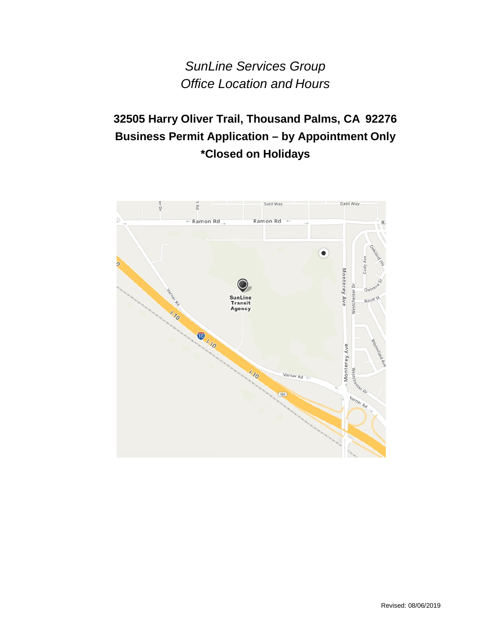*SunLine Services Group Office Location and Hours* 

### **32505 Harry Oliver Trail, Thousand Palms, CA 92276 Business Permit Application – by Appointment Only \*Closed on Holidays**

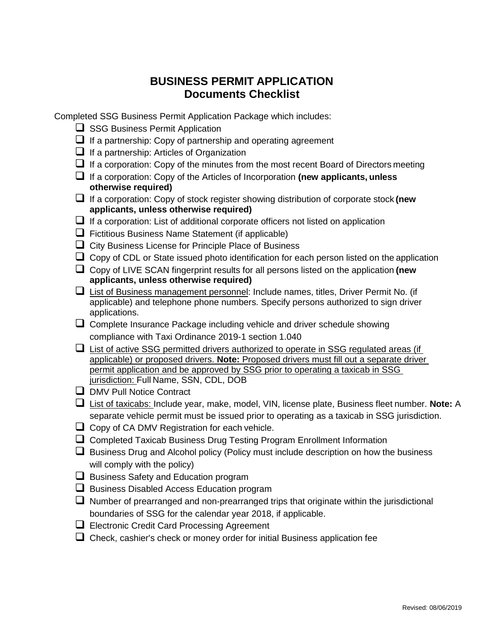### **BUSINESS PERMIT APPLICATION Documents Checklist**

Completed SSG Business Permit Application Package which includes:

- $\Box$  SSG Business Permit Application
- $\Box$  If a partnership: Copy of partnership and operating agreement
- $\Box$  If a partnership: Articles of Organization
- $\Box$  If a corporation: Copy of the minutes from the most recent Board of Directors meeting
- If a corporation: Copy of the Articles of Incorporation **(new applicants, unless otherwise required)**
- If a corporation: Copy of stock register showing distribution of corporate stock **(new applicants, unless otherwise required)**
- $\Box$  If a corporation: List of additional corporate officers not listed on application
- $\Box$  Fictitious Business Name Statement (if applicable)
- $\Box$  City Business License for Principle Place of Business
- $\Box$  Copy of CDL or State issued photo identification for each person listed on the application
- Copy of LIVE SCAN fingerprint results for all persons listed on the application **(new applicants, unless otherwise required)**
- $\Box$  List of Business management personnel: Include names, titles, Driver Permit No. (if applicable) and telephone phone numbers. Specify persons authorized to sign driver applications.
- $\Box$  Complete Insurance Package including vehicle and driver schedule showing compliance with Taxi Ordinance 2019-1 section 1.040
- $\Box$  List of active SSG permitted drivers authorized to operate in SSG regulated areas (if applicable) or proposed drivers. **Note:** Proposed drivers must fill out a separate driver permit application and be approved by SSG prior to operating a taxicab in SSG jurisdiction: Full Name, SSN, CDL, DOB
- **D** DMV Pull Notice Contract
- List of taxicabs: Include year, make, model, VIN, license plate, Business fleet number. **Note:** A separate vehicle permit must be issued prior to operating as a taxicab in SSG jurisdiction.
- $\Box$  Copy of CA DMV Registration for each vehicle.
- □ Completed Taxicab Business Drug Testing Program Enrollment Information
- $\Box$  Business Drug and Alcohol policy (Policy must include description on how the business will comply with the policy)
- $\Box$  Business Safety and Education program
- $\Box$  Business Disabled Access Education program
- $\Box$  Number of prearranged and non-prearranged trips that originate within the jurisdictional boundaries of SSG for the calendar year 2018, if applicable.
- Electronic Credit Card Processing Agreement
- $\Box$  Check, cashier's check or money order for initial Business application fee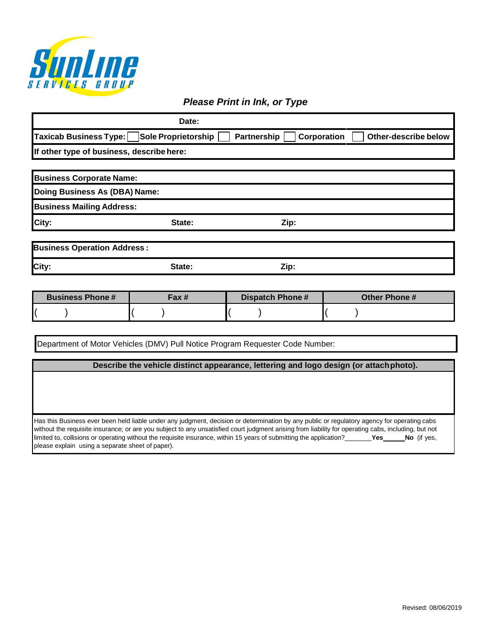

### *Please Print in Ink, or Type*

|                                           | Date:                      |             |             |                      |
|-------------------------------------------|----------------------------|-------------|-------------|----------------------|
| Taxicab Business Type:                    | <b>Sole Proprietorship</b> | Partnership | Corporation | Other-describe below |
| If other type of business, describe here: |                            |             |             |                      |
|                                           |                            |             |             |                      |
| <b>Business Corporate Name:</b>           |                            |             |             |                      |
| Doing Business As (DBA) Name:             |                            |             |             |                      |
| <b>Business Mailing Address:</b>          |                            |             |             |                      |
| City:                                     | State:                     | Zip:        |             |                      |
| <b>Business Operation Address:</b>        |                            |             |             |                      |
| City:                                     | State:                     | Zip:        |             |                      |

| <b>Business Phone #</b> | Fax # | Dispatch Phone # | <b>Other Phone #</b> |
|-------------------------|-------|------------------|----------------------|
|                         |       |                  |                      |

Department of Motor Vehicles (DMV) Pull Notice Program Requester Code Number:

#### **Describe the vehicle distinct appearance, lettering and logo design (or attach photo).**

Has this Business ever been held liable under any judgment, decision or determination by any public or regulatory agency for operating cabs without the requisite insurance; or are you subject to any unsatisfied court judgment arising from liability for operating cabs, including, but not limited to, collisions or operating without the requisite insurance, within 15 years of submitting the application? **Yes No** (if yes, please explain using a separate sheet of paper).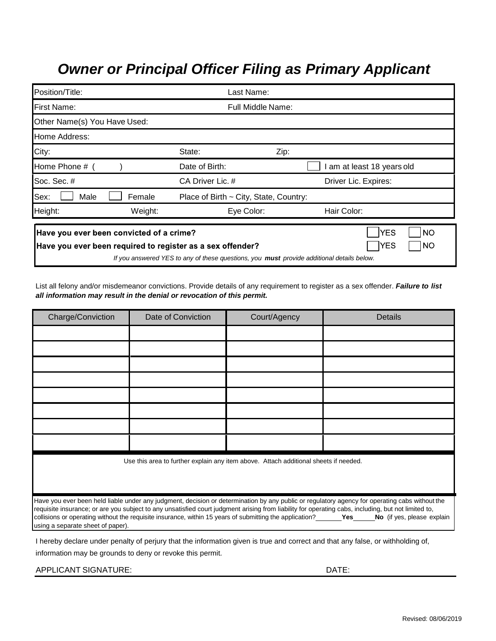# *Owner or Principal Officer Filing as Primary Applicant*

| Position/Title:                          | Last Name:        |                                                                                                  |      |                                 |
|------------------------------------------|-------------------|--------------------------------------------------------------------------------------------------|------|---------------------------------|
| First Name:                              | Full Middle Name: |                                                                                                  |      |                                 |
| Other Name(s) You Have Used:             |                   |                                                                                                  |      |                                 |
| Home Address:                            |                   |                                                                                                  |      |                                 |
| City:                                    |                   | State:                                                                                           | Zip: |                                 |
| Home Phone # (                           |                   | Date of Birth:                                                                                   |      | am at least 18 years old        |
| Soc. Sec. #                              |                   | CA Driver Lic. #                                                                                 |      | Driver Lic. Expires:            |
| Sex:<br>Male                             | Female            | Place of Birth ~ City, State, Country:                                                           |      |                                 |
| Height:                                  | Weight:           | Eye Color:                                                                                       |      | Hair Color:                     |
| Have you ever been convicted of a crime? |                   | Have you ever been required to register as a sex offender?                                       |      | YES<br><b>NO</b><br> YES<br> NO |
|                                          |                   | If you answered YES to any of these questions, you <b>must</b> provide additional details below. |      |                                 |

List all felony and/or misdemeanor convictions. Provide details of any requirement to register as a sex offender. *Failure to list all information may result in the denial or revocation of this permit.*

| Charge/Conviction                                                                                                               | Date of Conviction                                                                   | Court/Agency | <b>Details</b>                                                                                                                                                                                                                                                                                                                                                                                                                                                  |  |
|---------------------------------------------------------------------------------------------------------------------------------|--------------------------------------------------------------------------------------|--------------|-----------------------------------------------------------------------------------------------------------------------------------------------------------------------------------------------------------------------------------------------------------------------------------------------------------------------------------------------------------------------------------------------------------------------------------------------------------------|--|
|                                                                                                                                 |                                                                                      |              |                                                                                                                                                                                                                                                                                                                                                                                                                                                                 |  |
|                                                                                                                                 |                                                                                      |              |                                                                                                                                                                                                                                                                                                                                                                                                                                                                 |  |
|                                                                                                                                 |                                                                                      |              |                                                                                                                                                                                                                                                                                                                                                                                                                                                                 |  |
|                                                                                                                                 |                                                                                      |              |                                                                                                                                                                                                                                                                                                                                                                                                                                                                 |  |
|                                                                                                                                 |                                                                                      |              |                                                                                                                                                                                                                                                                                                                                                                                                                                                                 |  |
|                                                                                                                                 |                                                                                      |              |                                                                                                                                                                                                                                                                                                                                                                                                                                                                 |  |
|                                                                                                                                 |                                                                                      |              |                                                                                                                                                                                                                                                                                                                                                                                                                                                                 |  |
|                                                                                                                                 |                                                                                      |              |                                                                                                                                                                                                                                                                                                                                                                                                                                                                 |  |
|                                                                                                                                 | Use this area to further explain any item above. Attach additional sheets if needed. |              |                                                                                                                                                                                                                                                                                                                                                                                                                                                                 |  |
|                                                                                                                                 |                                                                                      |              |                                                                                                                                                                                                                                                                                                                                                                                                                                                                 |  |
|                                                                                                                                 |                                                                                      |              |                                                                                                                                                                                                                                                                                                                                                                                                                                                                 |  |
| using a separate sheet of paper).                                                                                               |                                                                                      |              | Have you ever been held liable under any judgment, decision or determination by any public or regulatory agency for operating cabs without the<br>requisite insurance; or are you subject to any unsatisfied court judgment arising from liability for operating cabs, including, but not limited to,<br>collisions or operating without the requisite insurance, within 15 years of submitting the application? <b>Same The School</b> (if yes, please explain |  |
| I hereby declare under penalty of perjury that the information given is true and correct and that any false, or withholding of, |                                                                                      |              |                                                                                                                                                                                                                                                                                                                                                                                                                                                                 |  |

information may be grounds to deny or revoke this permit.

APPLICANT SIGNATURE: DATE: DATE: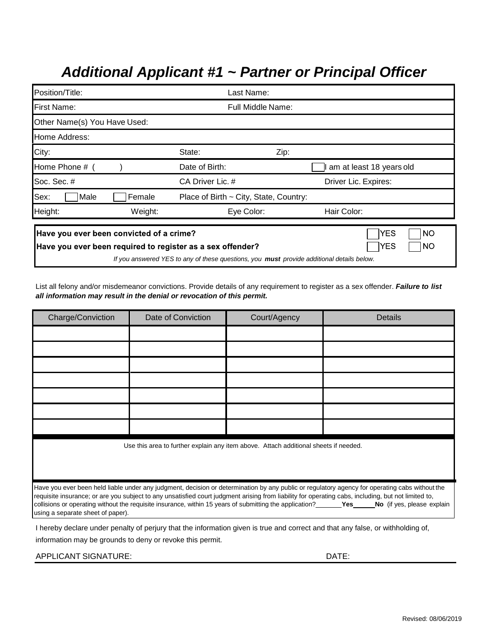# *Additional Applicant #1 ~ Partner or Principal Officer*

| Position/Title:                                                                                        | Last Name:               |                                                                                                  |      |                               |
|--------------------------------------------------------------------------------------------------------|--------------------------|--------------------------------------------------------------------------------------------------|------|-------------------------------|
| <b>First Name:</b>                                                                                     | <b>Full Middle Name:</b> |                                                                                                  |      |                               |
| Other Name(s) You Have Used:                                                                           |                          |                                                                                                  |      |                               |
| Home Address:                                                                                          |                          |                                                                                                  |      |                               |
| City:                                                                                                  |                          | State:                                                                                           | Zip: |                               |
| Home Phone #                                                                                           |                          | Date of Birth:                                                                                   |      | am at least 18 years old      |
| Soc. Sec. #                                                                                            |                          | CA Driver Lic. #                                                                                 |      | Driver Lic. Expires:          |
| Sex:<br>Male                                                                                           | Female                   | Place of Birth ~ City, State, Country:                                                           |      |                               |
| Height:                                                                                                | Weight:                  | Eye Color:                                                                                       |      | Hair Color:                   |
| Have you ever been convicted of a crime?<br>Have you ever been required to register as a sex offender? |                          | If you answered YES to any of these questions, you <b>must</b> provide additional details below. |      | YES<br>NO<br><b>YES</b><br>NO |

List all felony and/or misdemeanor convictions. Provide details of any requirement to register as a sex offender. *Failure to list all information may result in the denial or revocation of this permit.*

| Charge/Conviction                                                                                                                              | Date of Conviction                                                                   | Court/Agency | Details                                                                                                                                                                                                                                                                                                           |  |
|------------------------------------------------------------------------------------------------------------------------------------------------|--------------------------------------------------------------------------------------|--------------|-------------------------------------------------------------------------------------------------------------------------------------------------------------------------------------------------------------------------------------------------------------------------------------------------------------------|--|
|                                                                                                                                                |                                                                                      |              |                                                                                                                                                                                                                                                                                                                   |  |
|                                                                                                                                                |                                                                                      |              |                                                                                                                                                                                                                                                                                                                   |  |
|                                                                                                                                                |                                                                                      |              |                                                                                                                                                                                                                                                                                                                   |  |
|                                                                                                                                                |                                                                                      |              |                                                                                                                                                                                                                                                                                                                   |  |
|                                                                                                                                                |                                                                                      |              |                                                                                                                                                                                                                                                                                                                   |  |
|                                                                                                                                                |                                                                                      |              |                                                                                                                                                                                                                                                                                                                   |  |
|                                                                                                                                                |                                                                                      |              |                                                                                                                                                                                                                                                                                                                   |  |
|                                                                                                                                                | Use this area to further explain any item above. Attach additional sheets if needed. |              |                                                                                                                                                                                                                                                                                                                   |  |
|                                                                                                                                                |                                                                                      |              |                                                                                                                                                                                                                                                                                                                   |  |
| Have you ever been held liable under any judgment, decision or determination by any public or regulatory agency for operating cabs without the |                                                                                      |              |                                                                                                                                                                                                                                                                                                                   |  |
| using a separate sheet of paper).                                                                                                              |                                                                                      |              | requisite insurance; or are you subject to any unsatisfied court judgment arising from liability for operating cabs, including, but not limited to,<br>collisions or operating without the requisite insurance, within 15 years of submitting the application? <b>Yes_big Properation</b> (if yes, please explain |  |
|                                                                                                                                                |                                                                                      |              | I hereby declare under penalty of periury that the information given is true and correct and that any false, or withholding of                                                                                                                                                                                    |  |

I hereby declare under penalty of perjury that the information given is true and correct and that any false, or withholding of, information may be grounds to deny or revoke this permit.

APPLICANT SIGNATURE: DATE: DATE: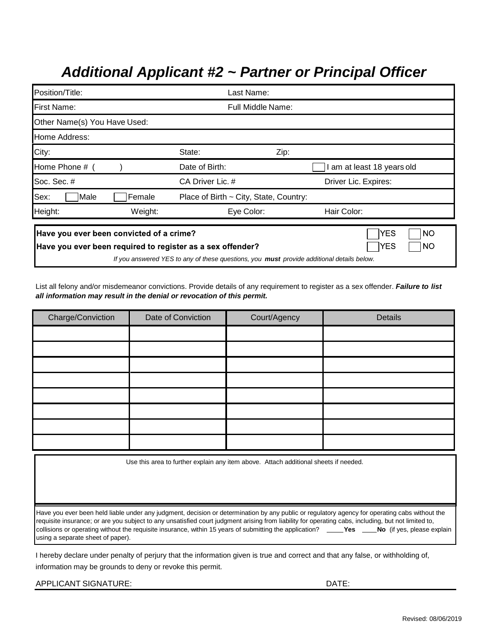# *Additional Applicant #2 ~ Partner or Principal Officer*

| Position/Title:                                                                                        | Last Name:                             |                                                                                                                                          |  |
|--------------------------------------------------------------------------------------------------------|----------------------------------------|------------------------------------------------------------------------------------------------------------------------------------------|--|
| First Name:                                                                                            | <b>Full Middle Name:</b>               |                                                                                                                                          |  |
| Other Name(s) You Have Used:                                                                           |                                        |                                                                                                                                          |  |
| Home Address:                                                                                          |                                        |                                                                                                                                          |  |
| City:                                                                                                  | State:                                 | Zip:                                                                                                                                     |  |
| Home Phone #                                                                                           | Date of Birth:                         | am at least 18 years old                                                                                                                 |  |
| Soc. Sec. #                                                                                            | CA Driver Lic. #                       | Driver Lic. Expires:                                                                                                                     |  |
| Sex:<br>Female<br>Male                                                                                 | Place of Birth ~ City, State, Country: |                                                                                                                                          |  |
| Height:<br>Weight:                                                                                     | Eye Color:                             | Hair Color:                                                                                                                              |  |
| Have you ever been convicted of a crime?<br>Have you ever been required to register as a sex offender? |                                        | YES<br><b>NO</b><br><b>YES</b><br>NO<br>If you answered YES to any of these questions, you <b>must</b> provide additional details below. |  |

List all felony and/or misdemeanor convictions. Provide details of any requirement to register as a sex offender. *Failure to list all information may result in the denial or revocation of this permit.*

| Charge/Conviction | Date of Conviction | Court/Agency | Details |
|-------------------|--------------------|--------------|---------|
|                   |                    |              |         |
|                   |                    |              |         |
|                   |                    |              |         |
|                   |                    |              |         |
|                   |                    |              |         |
|                   |                    |              |         |
|                   |                    |              |         |
|                   |                    |              |         |

Use this area to further explain any item above. Attach additional sheets if needed.

Have you ever been held liable under any judgment, decision or determination by any public or regulatory agency for operating cabs without the requisite insurance; or are you subject to any unsatisfied court judgment arising from liability for operating cabs, including, but not limited to, collisions or operating without the requisite insurance, within 15 years of submitting the application? \_\_\_\_**Yes \_\_\_\_No** (if yes, please explain using a separate sheet of paper).

I hereby declare under penalty of perjury that the information given is true and correct and that any false, or withholding of, information may be grounds to deny or revoke this permit.

| APPLICANT SIGNATURE: | DATE: |
|----------------------|-------|
|                      |       |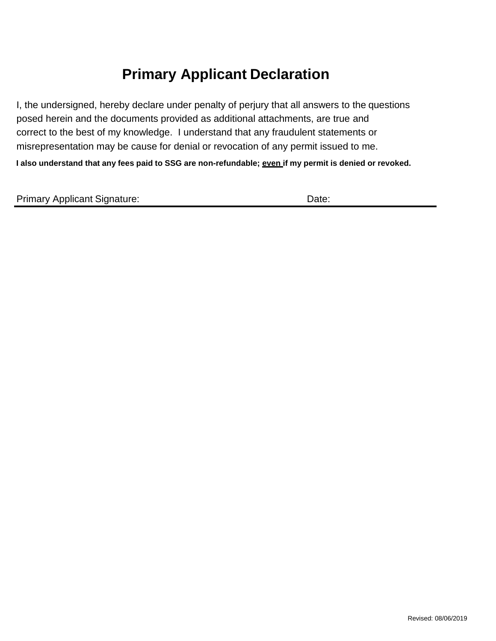# **Primary Applicant Declaration**

I, the undersigned, hereby declare under penalty of perjury that all answers to the questions posed herein and the documents provided as additional attachments, are true and correct to the best of my knowledge. I understand that any fraudulent statements or misrepresentation may be cause for denial or revocation of any permit issued to me.

**I also understand that any fees paid to SSG are non-refundable; even if my permit is denied or revoked.**

| <b>Primary Applicant Signature:</b> | Date: |
|-------------------------------------|-------|
|-------------------------------------|-------|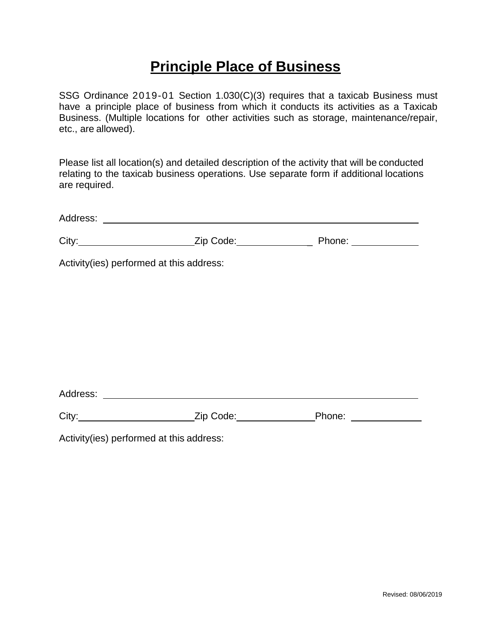### **Principle Place of Business**

SSG Ordinance 2019-01 Section 1.030(C)(3) requires that a taxicab Business must have a principle place of business from which it conducts its activities as a Taxicab Business. (Multiple locations for other activities such as storage, maintenance/repair, etc., are allowed).

Please list all location(s) and detailed description of the activity that will be conducted relating to the taxicab business operations. Use separate form if additional locations are required.

| Address: |
|----------|
|----------|

| City: | Zip Code: | Phone: |
|-------|-----------|--------|
|       |           |        |

Activity(ies) performed at this address:

Address:

| City: | Zip Code: | Phone: |
|-------|-----------|--------|
|       |           |        |

Activity(ies) performed at this address: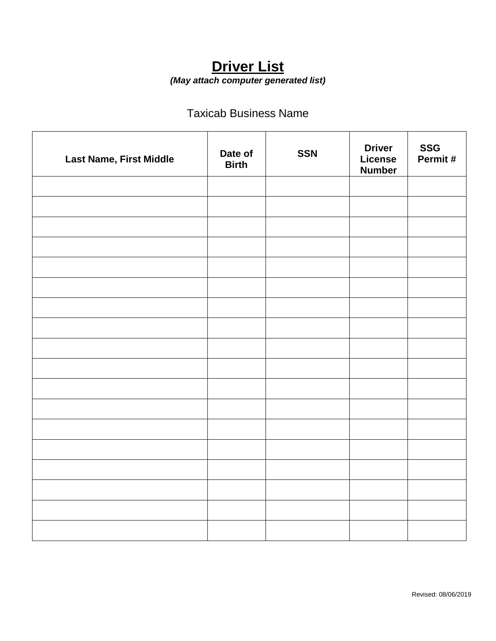### **Driver List** *(May attach computer generated list)*

### Taxicab Business Name

| Last Name, First Middle | Date of<br><b>Birth</b> | <b>SSN</b> | <b>Driver</b><br>License<br><b>Number</b> | <b>SSG</b><br>Permit# |
|-------------------------|-------------------------|------------|-------------------------------------------|-----------------------|
|                         |                         |            |                                           |                       |
|                         |                         |            |                                           |                       |
|                         |                         |            |                                           |                       |
|                         |                         |            |                                           |                       |
|                         |                         |            |                                           |                       |
|                         |                         |            |                                           |                       |
|                         |                         |            |                                           |                       |
|                         |                         |            |                                           |                       |
|                         |                         |            |                                           |                       |
|                         |                         |            |                                           |                       |
|                         |                         |            |                                           |                       |
|                         |                         |            |                                           |                       |
|                         |                         |            |                                           |                       |
|                         |                         |            |                                           |                       |
|                         |                         |            |                                           |                       |
|                         |                         |            |                                           |                       |
|                         |                         |            |                                           |                       |
|                         |                         |            |                                           |                       |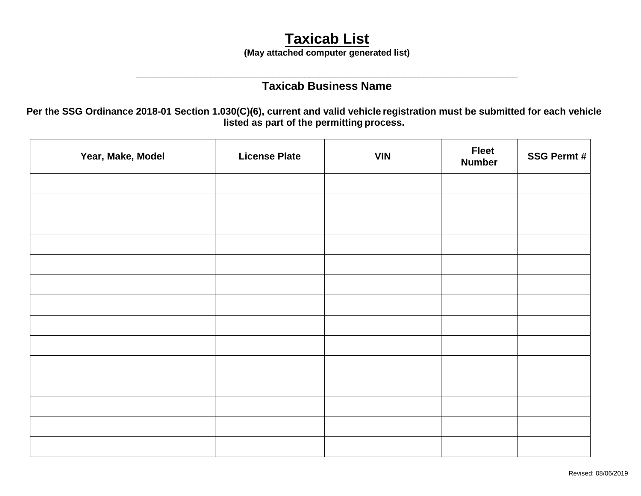# **Taxicab List**

**(May attached computer generated list)** 

### **\_\_\_\_\_\_\_\_\_\_\_\_\_\_\_\_\_\_\_\_\_\_\_\_\_\_\_\_\_\_\_\_\_\_\_\_\_\_\_\_\_\_\_\_\_\_\_\_\_\_\_\_\_\_\_\_\_\_\_\_\_\_\_\_\_\_\_\_\_\_\_\_\_\_\_\_\_ Taxicab Business Name**

**Per the SSG Ordinance 2018-01 Section 1.030(C)(6), current and valid vehicle registration must be submitted for each vehicle listed as part of the permitting process.**

| Year, Make, Model | <b>License Plate</b> | <b>VIN</b> | <b>Fleet</b><br><b>Number</b> | <b>SSG Permt#</b> |
|-------------------|----------------------|------------|-------------------------------|-------------------|
|                   |                      |            |                               |                   |
|                   |                      |            |                               |                   |
|                   |                      |            |                               |                   |
|                   |                      |            |                               |                   |
|                   |                      |            |                               |                   |
|                   |                      |            |                               |                   |
|                   |                      |            |                               |                   |
|                   |                      |            |                               |                   |
|                   |                      |            |                               |                   |
|                   |                      |            |                               |                   |
|                   |                      |            |                               |                   |
|                   |                      |            |                               |                   |
|                   |                      |            |                               |                   |
|                   |                      |            |                               |                   |